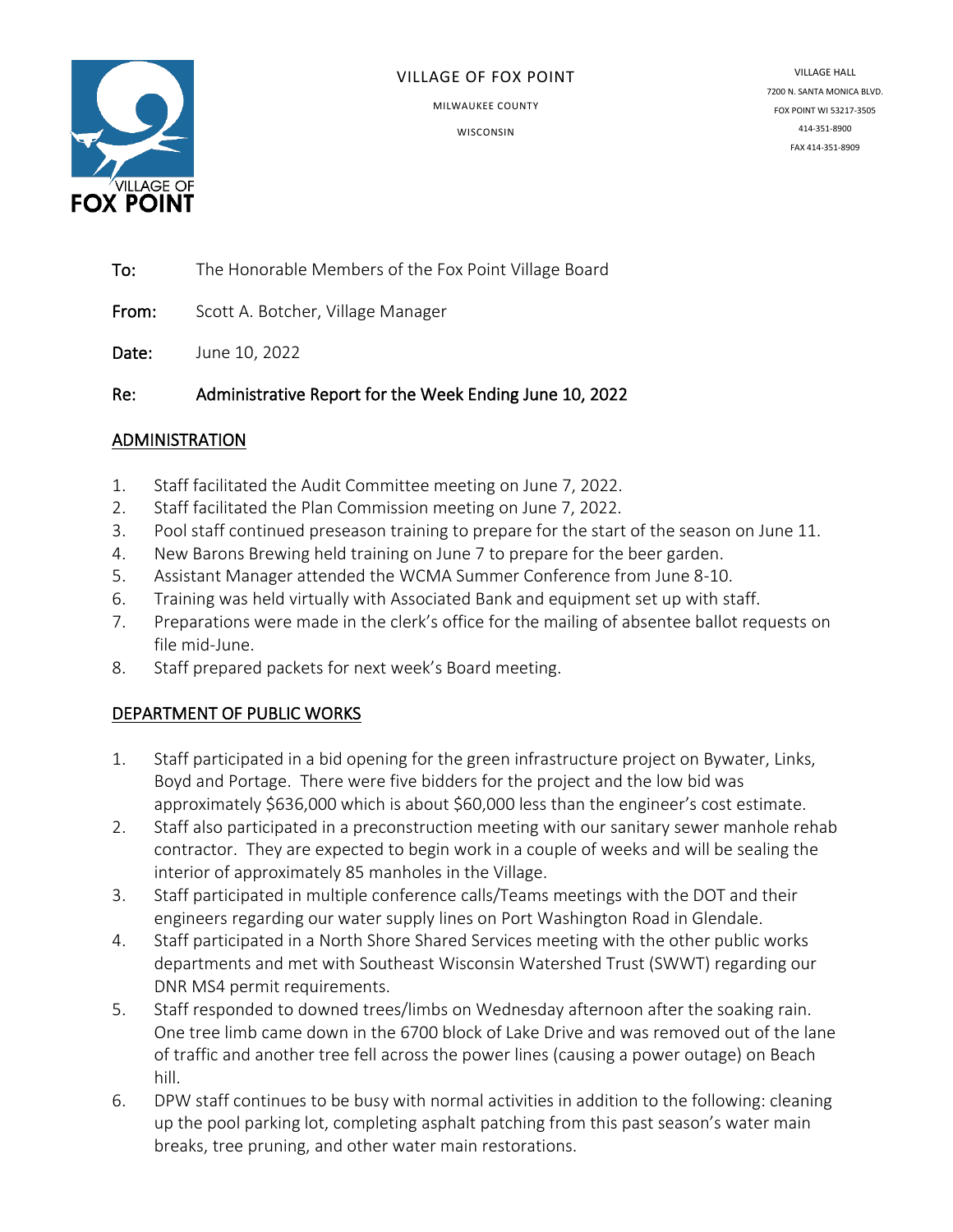

#### VILLAGE OF FOX POINT

MILWAUKEE COUNTY

**WISCONSIN** 

VILLAGE HALL 7200 N. SANTA MONICA BLVD. FOX POINT WI 53217-3505 414-351-8900 FAX 414-351-8909

To: The Honorable Members of the Fox Point Village Board

From: Scott A. Botcher, Village Manager

Date: June 10, 2022

Re: Administrative Report for the Week Ending June 10, 2022

# ADMINISTRATION

- 1. Staff facilitated the Audit Committee meeting on June 7, 2022.
- 2. Staff facilitated the Plan Commission meeting on June 7, 2022.
- 3. Pool staff continued preseason training to prepare for the start of the season on June 11.
- 4. New Barons Brewing held training on June 7 to prepare for the beer garden.
- 5. Assistant Manager attended the WCMA Summer Conference from June 8-10.
- 6. Training was held virtually with Associated Bank and equipment set up with staff.
- 7. Preparations were made in the clerk's office for the mailing of absentee ballot requests on file mid-June.
- 8. Staff prepared packets for next week's Board meeting.

# DEPARTMENT OF PUBLIC WORKS

- 1. Staff participated in a bid opening for the green infrastructure project on Bywater, Links, Boyd and Portage. There were five bidders for the project and the low bid was approximately \$636,000 which is about \$60,000 less than the engineer's cost estimate.
- 2. Staff also participated in a preconstruction meeting with our sanitary sewer manhole rehab contractor. They are expected to begin work in a couple of weeks and will be sealing the interior of approximately 85 manholes in the Village.
- 3. Staff participated in multiple conference calls/Teams meetings with the DOT and their engineers regarding our water supply lines on Port Washington Road in Glendale.
- 4. Staff participated in a North Shore Shared Services meeting with the other public works departments and met with Southeast Wisconsin Watershed Trust (SWWT) regarding our DNR MS4 permit requirements.
- 5. Staff responded to downed trees/limbs on Wednesday afternoon after the soaking rain. One tree limb came down in the 6700 block of Lake Drive and was removed out of the lane of traffic and another tree fell across the power lines (causing a power outage) on Beach hill.
- 6. DPW staff continues to be busy with normal activities in addition to the following: cleaning up the pool parking lot, completing asphalt patching from this past season's water main breaks, tree pruning, and other water main restorations.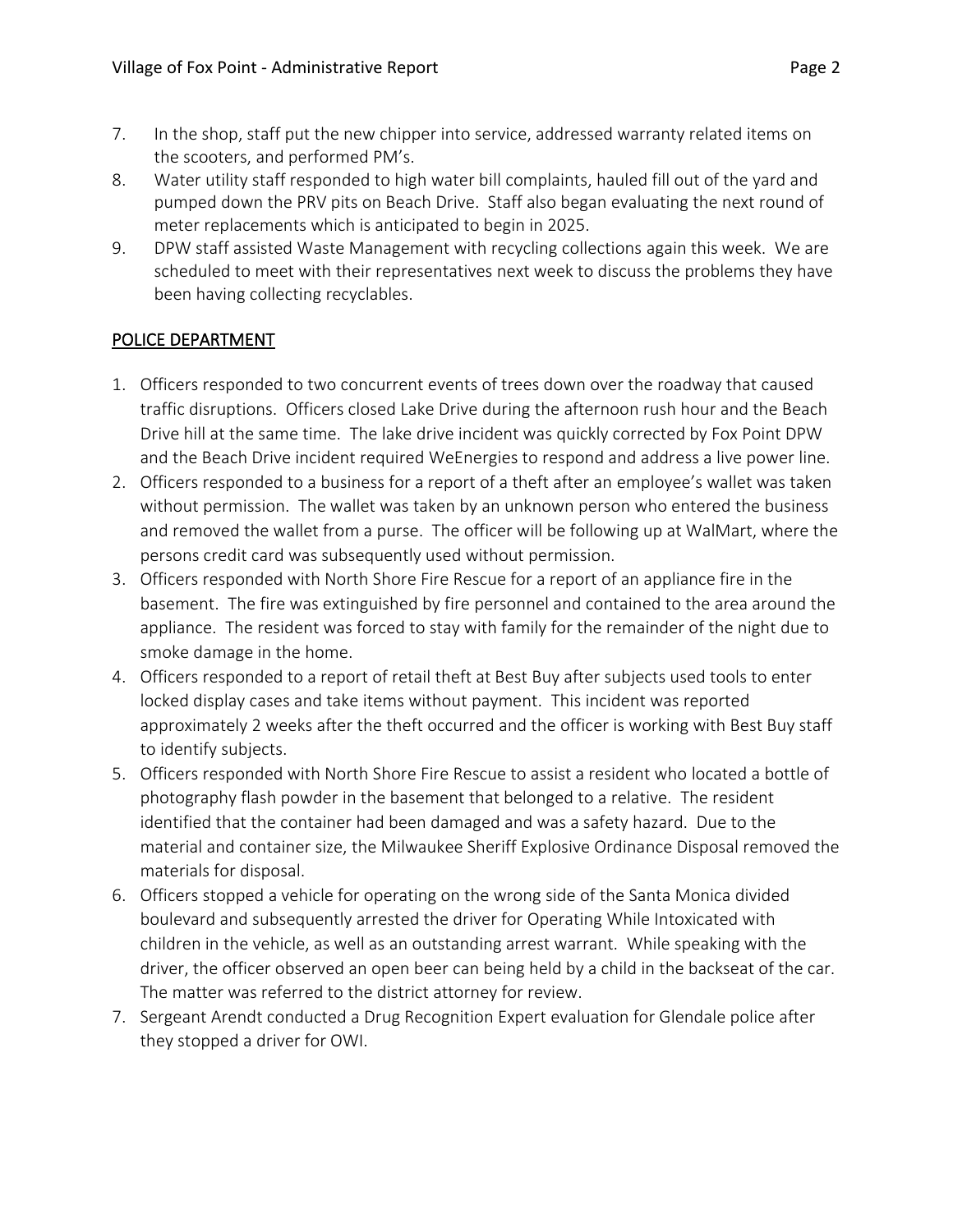- 7. In the shop, staff put the new chipper into service, addressed warranty related items on the scooters, and performed PM's.
- 8. Water utility staff responded to high water bill complaints, hauled fill out of the yard and pumped down the PRV pits on Beach Drive. Staff also began evaluating the next round of meter replacements which is anticipated to begin in 2025.
- 9. DPW staff assisted Waste Management with recycling collections again this week. We are scheduled to meet with their representatives next week to discuss the problems they have been having collecting recyclables.

# POLICE DEPARTMENT

- 1. Officers responded to two concurrent events of trees down over the roadway that caused traffic disruptions. Officers closed Lake Drive during the afternoon rush hour and the Beach Drive hill at the same time. The lake drive incident was quickly corrected by Fox Point DPW and the Beach Drive incident required WeEnergies to respond and address a live power line.
- 2. Officers responded to a business for a report of a theft after an employee's wallet was taken without permission. The wallet was taken by an unknown person who entered the business and removed the wallet from a purse. The officer will be following up at WalMart, where the persons credit card was subsequently used without permission.
- 3. Officers responded with North Shore Fire Rescue for a report of an appliance fire in the basement. The fire was extinguished by fire personnel and contained to the area around the appliance. The resident was forced to stay with family for the remainder of the night due to smoke damage in the home.
- 4. Officers responded to a report of retail theft at Best Buy after subjects used tools to enter locked display cases and take items without payment. This incident was reported approximately 2 weeks after the theft occurred and the officer is working with Best Buy staff to identify subjects.
- 5. Officers responded with North Shore Fire Rescue to assist a resident who located a bottle of photography flash powder in the basement that belonged to a relative. The resident identified that the container had been damaged and was a safety hazard. Due to the material and container size, the Milwaukee Sheriff Explosive Ordinance Disposal removed the materials for disposal.
- 6. Officers stopped a vehicle for operating on the wrong side of the Santa Monica divided boulevard and subsequently arrested the driver for Operating While Intoxicated with children in the vehicle, as well as an outstanding arrest warrant. While speaking with the driver, the officer observed an open beer can being held by a child in the backseat of the car. The matter was referred to the district attorney for review.
- 7. Sergeant Arendt conducted a Drug Recognition Expert evaluation for Glendale police after they stopped a driver for OWI.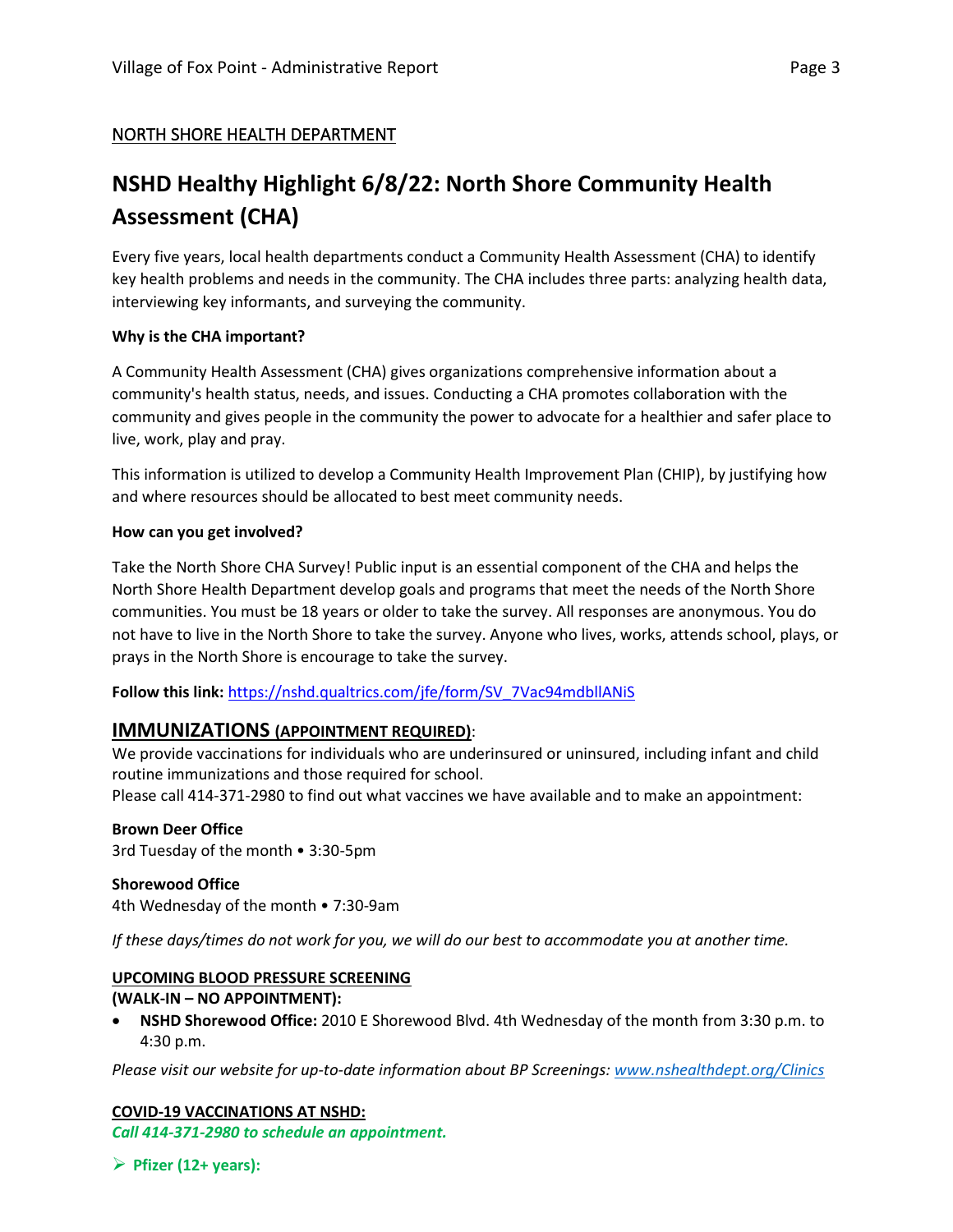# NORTH SHORE HEALTH DEPARTMENT

# **NSHD Healthy Highlight 6/8/22: North Shore Community Health Assessment (CHA)**

Every five years, local health departments conduct a Community Health Assessment (CHA) to identify key health problems and needs in the community. The CHA includes three parts: analyzing health data, interviewing key informants, and surveying the community.

#### **Why is the CHA important?**

A Community Health Assessment (CHA) gives organizations comprehensive information about a community's health status, needs, and issues. Conducting a CHA promotes collaboration with the community and gives people in the community the power to advocate for a healthier and safer place to live, work, play and pray.

This information is utilized to develop a Community Health Improvement Plan (CHIP), by justifying how and where resources should be allocated to best meet community needs.

#### **How can you get involved?**

Take the North Shore CHA Survey! Public input is an essential component of the CHA and helps the North Shore Health Department develop goals and programs that meet the needs of the North Shore communities. You must be 18 years or older to take the survey. All responses are anonymous. You do not have to live in the North Shore to take the survey. Anyone who lives, works, attends school, plays, or prays in the North Shore is encourage to take the survey.

Follow this link: [https://nshd.qualtrics.com/jfe/form/SV\\_7Vac94mdbllANiS](https://nshd.qualtrics.com/jfe/form/SV_7Vac94mdbllANiS)

## **IMMUNIZATIONS (APPOINTMENT REQUIRED)**:

We provide vaccinations for individuals who are underinsured or uninsured, including infant and child routine immunizations and those required for school.

Please call 414-371-2980 to find out what vaccines we have available and to make an appointment:

## **Brown Deer Office**

3rd Tuesday of the month • 3:30-5pm

**Shorewood Office** 4th Wednesday of the month • 7:30-9am

*If these days/times do not work for you, we will do our best to accommodate you at another time.*

#### **UPCOMING BLOOD PRESSURE SCREENING**

## **(WALK-IN – NO APPOINTMENT):**

• **NSHD Shorewood Office:**2010 E Shorewood Blvd. 4th Wednesday of the month from 3:30 p.m. to 4:30 p.m.

*Please visit our website for up-to-date information about BP Screenings: [www.nshealthdept.org/Clinics](https://www.nshealthdept.org/Clinics.aspx)*

## **COVID-19 VACCINATIONS AT NSHD:**

*Call 414-371-2980 to schedule an appointment.*

➢ **Pfizer (12+ years):**